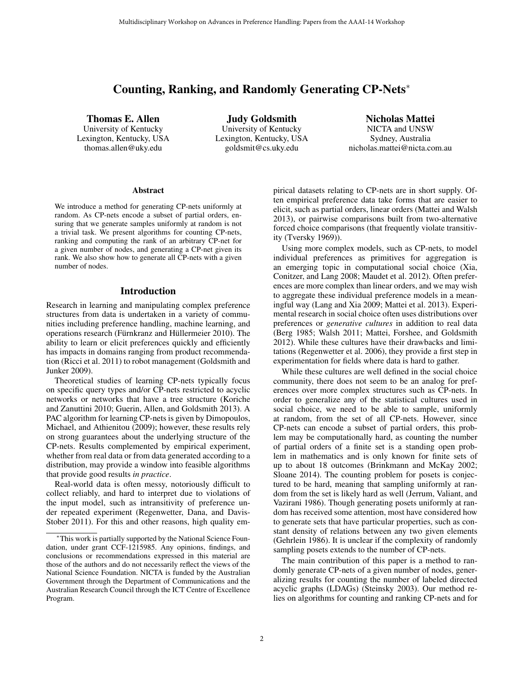# Counting, Ranking, and Randomly Generating CP-Nets<sup>∗</sup>

Thomas E. Allen University of Kentucky Lexington, Kentucky, USA thomas.allen@uky.edu

Judy Goldsmith University of Kentucky Lexington, Kentucky, USA goldsmit@cs.uky.edu

Nicholas Mattei NICTA and UNSW Sydney, Australia nicholas.mattei@nicta.com.au

#### Abstract

We introduce a method for generating CP-nets uniformly at random. As CP-nets encode a subset of partial orders, ensuring that we generate samples uniformly at random is not a trivial task. We present algorithms for counting CP-nets, ranking and computing the rank of an arbitrary CP-net for a given number of nodes, and generating a CP-net given its rank. We also show how to generate all CP-nets with a given number of nodes.

#### Introduction

Research in learning and manipulating complex preference structures from data is undertaken in a variety of communities including preference handling, machine learning, and operations research (Fürnkranz and Hüllermeier 2010). The ability to learn or elicit preferences quickly and efficiently has impacts in domains ranging from product recommendation (Ricci et al. 2011) to robot management (Goldsmith and Junker 2009).

Theoretical studies of learning CP-nets typically focus on specific query types and/or CP-nets restricted to acyclic networks or networks that have a tree structure (Koriche and Zanuttini 2010; Guerin, Allen, and Goldsmith 2013). A PAC algorithm for learning CP-nets is given by Dimopoulos, Michael, and Athienitou (2009); however, these results rely on strong guarantees about the underlying structure of the CP-nets. Results complemented by empirical experiment, whether from real data or from data generated according to a distribution, may provide a window into feasible algorithms that provide good results *in practice*.

Real-world data is often messy, notoriously difficult to collect reliably, and hard to interpret due to violations of the input model, such as intransitivity of preference under repeated experiment (Regenwetter, Dana, and Davis-Stober 2011). For this and other reasons, high quality empirical datasets relating to CP-nets are in short supply. Often empirical preference data take forms that are easier to elicit, such as partial orders, linear orders (Mattei and Walsh 2013), or pairwise comparisons built from two-alternative forced choice comparisons (that frequently violate transitivity (Tversky 1969)).

Using more complex models, such as CP-nets, to model individual preferences as primitives for aggregation is an emerging topic in computational social choice (Xia, Conitzer, and Lang 2008; Maudet et al. 2012). Often preferences are more complex than linear orders, and we may wish to aggregate these individual preference models in a meaningful way (Lang and Xia 2009; Mattei et al. 2013). Experimental research in social choice often uses distributions over preferences or *generative cultures* in addition to real data (Berg 1985; Walsh 2011; Mattei, Forshee, and Goldsmith 2012). While these cultures have their drawbacks and limitations (Regenwetter et al. 2006), they provide a first step in experimentation for fields where data is hard to gather.

While these cultures are well defined in the social choice community, there does not seem to be an analog for preferences over more complex structures such as CP-nets. In order to generalize any of the statistical cultures used in social choice, we need to be able to sample, uniformly at random, from the set of all CP-nets. However, since CP-nets can encode a subset of partial orders, this problem may be computationally hard, as counting the number of partial orders of a finite set is a standing open problem in mathematics and is only known for finite sets of up to about 18 outcomes (Brinkmann and McKay 2002; Sloane 2014). The counting problem for posets is conjectured to be hard, meaning that sampling uniformly at random from the set is likely hard as well (Jerrum, Valiant, and Vazirani 1986). Though generating posets uniformly at random has received some attention, most have considered how to generate sets that have particular properties, such as constant density of relations between any two given elements (Gehrlein 1986). It is unclear if the complexity of randomly sampling posets extends to the number of CP-nets.

The main contribution of this paper is a method to randomly generate CP-nets of a given number of nodes, generalizing results for counting the number of labeled directed acyclic graphs (LDAGs) (Steinsky 2003). Our method relies on algorithms for counting and ranking CP-nets and for

This work is partially supported by the National Science Foundation, under grant CCF-1215985. Any opinions, findings, and conclusions or recommendations expressed in this material are those of the authors and do not necessarily reflect the views of the National Science Foundation. NICTA is funded by the Australian Government through the Department of Communications and the Australian Research Council through the ICT Centre of Excellence Program.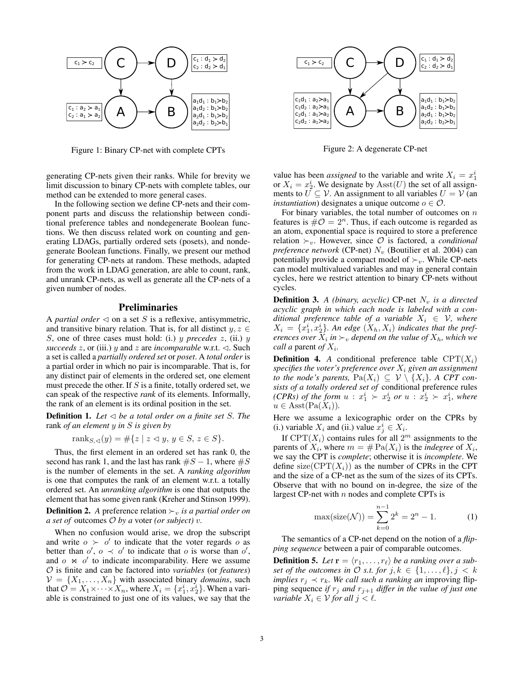

Figure 1: Binary CP-net with complete CPTs

generating CP-nets given their ranks. While for brevity we limit discussion to binary CP-nets with complete tables, our method can be extended to more general cases.

In the following section we define CP-nets and their component parts and discuss the relationship between conditional preference tables and nondegenerate Boolean functions. We then discuss related work on counting and generating LDAGs, partially ordered sets (posets), and nondegenerate Boolean functions. Finally, we present our method for generating CP-nets at random. These methods, adapted from the work in LDAG generation, are able to count, rank, and unrank CP-nets, as well as generate all the CP-nets of a given number of nodes.

#### **Preliminaries**

A *partial order*  $\triangleleft$  on a set S is a reflexive, antisymmetric, and transitive binary relation. That is, for all distinct  $y, z \in$ S, one of three cases must hold: (i.) y *precedes* z, (ii.) y *succeeds* z, or (iii.) y and z are *incomparable* w.r.t.  $\triangleleft$ . Such a set is called a *partially ordered set* or *poset*. A *total order* is a partial order in which no pair is incomparable. That is, for any distinct pair of elements in the ordered set, one element must precede the other. If  $S$  is a finite, totally ordered set, we can speak of the respective *rank* of its elements. Informally, the rank of an element is its ordinal position in the set.

**Definition 1.** Let  $\triangleleft$  *be a total order on a finite set S. The* rank *of an element* y *in* S *is given by*

rank<sub>S, $\triangleleft(y) = \#\{z \mid z \leq y, y \in S, z \in S\}.$ </sub>

Thus, the first element in an ordered set has rank 0, the second has rank 1, and the last has rank  $#S - 1$ , where  $#S$ is the number of elements in the set. A *ranking algorithm* is one that computes the rank of an element w.r.t. a totally ordered set. An *unranking algorithm* is one that outputs the element that has some given rank (Kreher and Stinson 1999).

**Definition 2.** A preference relation  $\succ_v$  is a partial order on *a set of* outcomes O *by a* voter *(or subject)* v*.*

When no confusion would arise, we drop the subscript and write  $o \succ o'$  to indicate that the voter regards o as better than  $o'$ ,  $o \prec o'$  to indicate that o is worse than  $o'$ , and  $o \Join o'$  to indicate incomparability. Here we assume O is finite and can be factored into *variables* (or *features*)  $V = \{X_1, \ldots, X_n\}$  with associated binary *domains*, such that  $\mathcal{O} = X_1 \times \cdots \times X_n$ , where  $X_i = \{x_1^i, x_2^i\}$ . When a variable is constrained to just one of its values, we say that the



Figure 2: A degenerate CP-net

value has been *assigned* to the variable and write  $X_i = x_1^i$ or  $X_i = x_2^i$ . We designate by  $\text{Ass}(U)$  the set of all assignments to  $\overline{U} \subseteq V$ . An assignment to all variables  $U = V$  (an *instantiation*) designates a unique outcome  $o \in \mathcal{O}$ .

For binary variables, the total number of outcomes on  $n$ features is  $\#\mathcal{O} = 2^n$ . Thus, if each outcome is regarded as an atom, exponential space is required to store a preference relation  $\succ_v$ . However, since  $\mathcal O$  is factored, a *conditional preference network* (CP-net)  $N_v$  (Boutilier et al. 2004) can potentially provide a compact model of  $\succ_v$ . While CP-nets can model multivalued variables and may in general contain cycles, here we restrict attention to binary CP-nets without cycles.

**Definition 3.** *A (binary, acyclic)* CP-net  $N_v$  *is a directed acyclic graph in which each node is labeled with a conditional preference table of a variable*  $X_i \in V$ *, where*  $X_i = \{\overline{x_1^i}, \overline{x_2^i}\}$ . An edge  $(X_h, X_i)$  indicates that the pref*erences over*  $X_i$  in  $\succ_v$  depend on the value of  $X_h$ , which we *call a* parent *of*  $X_i$ .

**Definition 4.** *A* conditional preference table  $CPT(X_i)$ specifies the voter's preference over  $X_i$  given an assignment *to the node's parents,*  $Pa(X_i) \subseteq V \setminus \{X_i\}$ . A CPT con*sists of a totally ordered set of* conditional preference rules *(CPRs) of the form*  $u : x_1^i \succ x_2^i$  *or*  $u : x_2^i \succ x_1^i$ , where  $u \in \text{Asst}(\text{Pa}(X_i)).$ 

Here we assume a lexicographic order on the CPRs by (i.) variable  $X_i$  and (ii.) value  $x_j^i \in X_i$ .

If CPT( $X_i$ ) contains rules for all  $2^m$  assignments to the parents of  $X_i$ , where  $m = \# \text{Pa}(X_i)$  is the *indegree* of  $X_i$ , we say the CPT is *complete*; otherwise it is *incomplete*. We define size( $CPT(X_i)$ ) as the number of CPRs in the CPT and the size of a CP-net as the sum of the sizes of its CPTs. Observe that with no bound on in-degree, the size of the largest CP-net with  $n$  nodes and complete CPTs is

$$
\max(\text{size}(\mathcal{N})) = \sum_{k=0}^{n-1} 2^k = 2^n - 1.
$$
 (1)

The semantics of a CP-net depend on the notion of a *flipping sequence* between a pair of comparable outcomes.

**Definition 5.** Let  $\mathbf{r} = \langle r_1, \ldots, r_\ell \rangle$  be a ranking over a sub*set of the outcomes in*  $\mathcal{O}$  *s.t. for*  $j, k \in \{1, \ldots, \ell\}, j < k$ *implies*  $r_i \prec r_k$ *. We call such a ranking an improving flip*ping sequence *if*  $r_j$  *and*  $r_{j+1}$  *differ in the value of just one variable*  $X_i \in V$  *for all*  $j < l$ *.*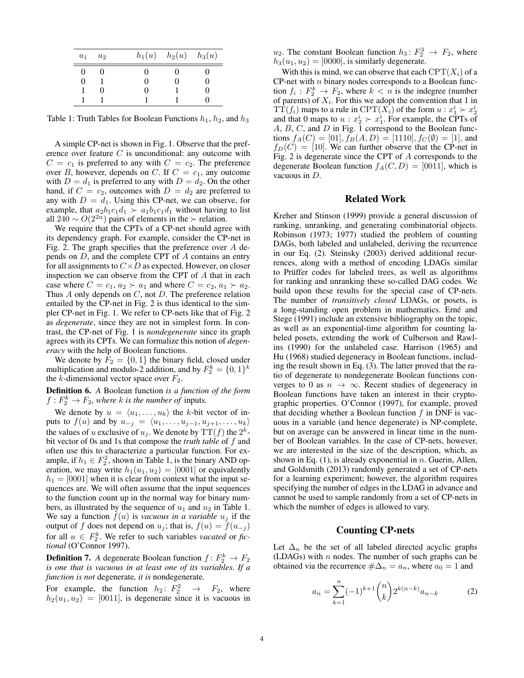| $u_1$ | $u_2$ |   | $h_1(u)$ $h_2(u)$ $h_3(u)$ |  |
|-------|-------|---|----------------------------|--|
|       |       | 0 | 0                          |  |
|       |       | 0 |                            |  |
|       |       |   |                            |  |
|       |       |   |                            |  |

Table 1: Truth Tables for Boolean Functions  $h_1$ ,  $h_2$ , and  $h_3$ 

A simple CP-net is shown in Fig. 1. Observe that the preference over feature  $C$  is unconditional: any outcome with  $C = c_1$  is preferred to any with  $C = c_2$ . The preference over B, however, depends on C. If  $C = c_1$ , any outcome with  $D = d_1$  is preferred to any with  $D = d_2$ . On the other hand, if  $C = c_2$ , outcomes with  $D = d_2$  are preferred to any with  $D = d_1$ . Using this CP-net, we can observe, for example, that  $a_2b_1c_1d_1 \succ a_1b_1c_1d_1$  without having to list all 240 ∼  $O(2^{2n})$  pairs of elements in the ≻ relation.

We require that the CPTs of a CP-net should agree with its dependency graph. For example, consider the CP-net in Fig. 2. The graph specifies that the preference over  $A$  depends on D, and the complete CPT of A contains an entry for all assignments to  $C \times D$  as expected. However, on closer inspection we can observe from the CPT of A that in each case where  $C = c_1$ ,  $a_2 \succ a_1$  and where  $C = c_2$ ,  $a_1 \succ a_2$ . Thus  $A$  only depends on  $C$ , not  $D$ . The preference relation entailed by the CP-net in Fig. 2 is thus identical to the simpler CP-net in Fig. 1. We refer to CP-nets like that of Fig. 2 as *degenerate*, since they are not in simplest form. In contrast, the CP-net of Fig. 1 is *nondegenerate* since its graph agrees with its CPTs. We can formalize this notion of *degeneracy* with the help of Boolean functions.

We denote by  $F_2 = \{0, 1\}$  the binary field, closed under multiplication and modulo-2 addition, and by  $F_2^k = \{0, 1\}^k$ the k-dimensional vector space over  $F_2$ .

Definition 6. *A* Boolean function *is a function of the form*  $f: F_2^k \to F_2$ , where k is the number of inputs.

We denote by  $u = \langle u_1, \ldots, u_k \rangle$  the k-bit vector of inputs to  $f(u)$  and by  $u_{-j} = \langle u_1, \ldots, u_{j-1}, u_{j+1}, \ldots, u_k \rangle$ the values of u exclusive of  $u_j$ . We denote by  $TT(f)$  the  $2^k$ bit vector of 0s and 1s that compose the *truth table* of f and often use this to characterize a particular function. For example, if  $h_1 \in F_2^2$ , shown in Table 1, is the binary AND operation, we may write  $h_1(u_1, u_2) = [0001]$  or equivalently  $h_1 = [0001]$  when it is clear from context what the input sequences are. We will often assume that the input sequences to the function count up in the normal way for binary numbers, as illustrated by the sequence of  $u_1$  and  $u_2$  in Table 1. We say a function  $f(u)$  is *vacuous in a variable*  $u_i$  if the output of f does not depend on  $u_j$ ; that is,  $f(u) = f(u_{-i})$ for all  $u \in F_2^k$ . We refer to such variables *vacated* or *fictional* (O'Connor 1997).

**Definition 7.** A degenerate Boolean function  $f: F_2^k \to F_2$ *is one that is vacuous in at least one of its variables. If a function is not* degenerate*, it is* nondegenerate*.*

For example, the function  $h_2: F_2^2 \rightarrow F_2$ , where  $h_2(u_1, u_2) = [0011]$ , is degenerate since it is vacuous in

 $u_2$ . The constant Boolean function  $h_3: F_2^3 \rightarrow F_2$ , where  $h_3(u_1, u_2) = [0000]$ , is similarly degenerate.

With this is mind, we can observe that each  $CPT(X_i)$  of a  $CP$ -net with  $n$  binary nodes corresponds to a Boolean function  $f_i: F_2^k \to F_2$ , where  $k < n$  is the indegree (number of parents) of  $X_i$ . For this we adopt the convention that 1 in  $TT(f_i)$  maps to a rule in  $CPT(X_i)$  of the form  $u : x_1^i \succ x_2^i$ and that 0 maps to  $u : x_2^i > x_1^i$ . For example, the CPTs of A, B, C, and D in Fig. 1 correspond to the Boolean functions  $f_A(C) = [01], f_B(A, D) = [1110], f_C(\emptyset) = [1]$ , and  $f_D(C) = [10]$ . We can further observe that the CP-net in Fig. 2 is degenerate since the CPT of A corresponds to the degenerate Boolean function  $f_A(C, D) = [0011]$ , which is vacuous in D.

### Related Work

Kreher and Stinson (1999) provide a general discussion of ranking, unranking, and generating combinatorial objects. Robinson (1973; 1977) studied the problem of counting DAGs, both labeled and unlabeled, deriving the recurrence in our Eq. (2). Steinsky (2003) derived additional recurrences, along with a method of encoding LDAGs similar to Prüffer codes for labeled trees, as well as algorithms for ranking and unranking these so-called DAG codes. We build upon these results for the special case of CP-nets. The number of *transitively closed* LDAGs, or posets, is a long-standing open problem in mathematics. Erné and Stege (1991) include an extensive bibliography on the topic, as well as an exponential-time algorithm for counting labeled posets, extending the work of Culberson and Rawlins (1990) for the unlabeled case. Harrison (1965) and Hu (1968) studied degeneracy in Boolean functions, including the result shown in Eq. (3). The latter proved that the ratio of degenerate to nondegenerate Boolean functions converges to 0 as  $n \to \infty$ . Recent studies of degeneracy in Boolean functions have taken an interest in their cryptographic properties. O'Connor (1997), for example, proved that deciding whether a Boolean function  $f$  in DNF is vacuous in a variable (and hence degenerate) is NP-complete, but on average can be answered in linear time in the number of Boolean variables. In the case of CP-nets, however, we are interested in the size of the description, which, as shown in Eq.  $(1)$ , is already exponential in *n*. Guerin, Allen, and Goldsmith (2013) randomly generated a set of CP-nets for a learning experiment; however, the algorithm requires specifying the number of edges in the LDAG in advance and cannot be used to sample randomly from a set of CP-nets in which the number of edges is allowed to vary.

#### Counting CP-nets

Let  $\Delta_n$  be the set of all labeled directed acyclic graphs (LDAGs) with  $n$  nodes. The number of such graphs can be obtained via the recurrence  $\#\Delta_n = a_n$ , where  $a_0 = 1$  and

$$
a_n = \sum_{k=1}^n (-1)^{k+1} \binom{n}{k} 2^{k(n-k)} a_{n-k} \tag{2}
$$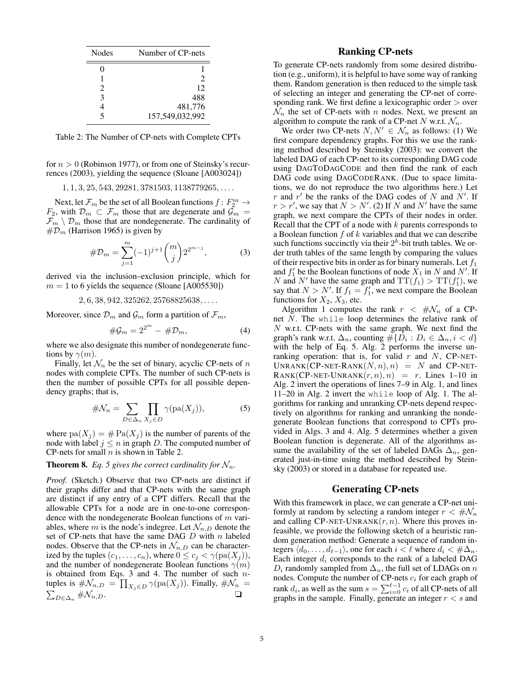| <b>Nodes</b> | Number of CP-nets |
|--------------|-------------------|
|              |                   |
|              | $\mathfrak{D}$    |
| 2            | 12                |
| 3            | 488               |
|              | 481,776           |
| 5            | 157,549,032,992   |

Table 2: The Number of CP-nets with Complete CPTs

for  $n > 0$  (Robinson 1977), or from one of Steinsky's recurrences (2003), yielding the sequence (Sloane [A003024])

 $1, 1, 3, 25, 543, 29281, 3781503, 1138779265, \ldots$ 

Next, let  $\mathcal{F}_m$  be the set of all Boolean functions  $f\colon F_2^m\to$  $F_2$ , with  $\mathcal{D}_m \subset \mathcal{F}_m$  those that are degenerate and  $\mathcal{G}_m =$  $\mathcal{F}_m \setminus \mathcal{D}_m$  those that are nondegenerate. The cardinality of  $\#D_m$  (Harrison 1965) is given by

$$
\#\mathcal{D}_m = \sum_{j=1}^m (-1)^{j+1} \binom{m}{j} 2^{2^{m-j}},\tag{3}
$$

derived via the inclusion–exclusion principle, which for  $m = 1$  to 6 yields the sequence (Sloane [A005530])

 $2, 6, 38, 942, 325262, 25768825638, \ldots$ 

Moreover, since  $\mathcal{D}_m$  and  $\mathcal{G}_m$  form a partition of  $\mathcal{F}_m$ ,

$$
\#\mathcal{G}_m = 2^{2^m} - \#\mathcal{D}_m,\tag{4}
$$

where we also designate this number of nondegenerate functions by  $\gamma(m)$ .

Finally, let  $\mathcal{N}_n$  be the set of binary, acyclic CP-nets of n nodes with complete CPTs. The number of such CP-nets is then the number of possible CPTs for all possible dependency graphs; that is,

$$
\#\mathcal{N}_n = \sum_{D \in \Delta_n} \prod_{X_j \in D} \gamma(\text{pa}(X_j)),\tag{5}
$$

where  $pa(X_i) = \# Pa(X_i)$  is the number of parents of the node with label  $j \leq n$  in graph D. The computed number of CP-nets for small  $n$  is shown in Table 2.

**Theorem 8.** *Eq.* 5 gives the correct cardinality for  $\mathcal{N}_n$ .

*Proof.* (Sketch.) Observe that two CP-nets are distinct if their graphs differ and that CP-nets with the same graph are distinct if any entry of a CPT differs. Recall that the allowable CPTs for a node are in one-to-one correspondence with the nondegenerate Boolean functions of  $m$  variables, where m is the node's indegree. Let  $\mathcal{N}_{n,D}$  denote the set of CP-nets that have the same DAG  $D$  with  $n$  labeled nodes. Observe that the CP-nets in  $\mathcal{N}_{n,D}$  can be characterized by the tuples  $(c_1, \ldots, c_n)$ , where  $0 \le c_j < \gamma(\text{pa}(X_j))$ , and the number of nondegenerate Boolean functions  $\gamma(m)$ is obtained from Eqs. 3 and 4. The number of such  $n$ tuples is  $\#\mathcal{N}_{n,D} = \prod_{X_j \in D} \gamma(\text{pa}(X_j))$ . Finally,  $\#\mathcal{N}_n =$  $\sum_{D\in\Delta_n} \#N_{n,D}$ .  $\square$ 

# Ranking CP-nets

To generate CP-nets randomly from some desired distribution (e.g., uniform), it is helpful to have some way of ranking them. Random generation is then reduced to the simple task of selecting an integer and generating the CP-net of corresponding rank. We first define a lexicographic order > over  $\mathcal{N}_n$  the set of CP-nets with n nodes. Next, we present an algorithm to compute the rank of a CP-net N w.r.t.  $\mathcal{N}_n$ .

We order two CP-nets  $N, N' \in \mathcal{N}_n$  as follows: (1) We first compare dependency graphs. For this we use the ranking method described by Steinsky (2003): we convert the labeled DAG of each CP-net to its corresponding DAG code using DAGTODAGCODE and then find the rank of each DAG code using DAGCODERANK. (Due to space limitations, we do not reproduce the two algorithms here.) Let r and r' be the ranks of the DAG codes of N and N'. If  $r > r'$ , we say that  $N > N'$ . (2) If N and N' have the same graph, we next compare the CPTs of their nodes in order. Recall that the CPT of a node with  $k$  parents corresponds to a Boolean function  $f$  of  $k$  variables and that we can describe such functions succinctly via their  $2<sup>k</sup>$ -bit truth tables. We order truth tables of the same length by comparing the values of their respective bits in order as for binary numerals. Let  $f_1$ and  $f_1'$  be the Boolean functions of node  $X_1$  in N and N'. If N and N' have the same graph and  $TT(f_1) > TT(f'_1)$ , we say that  $N > N'$ . If  $f_1 = f'_1$ , we next compare the Boolean functions for  $X_2$ ,  $X_3$ , etc.

Algorithm 1 computes the rank  $r < #\mathcal{N}_n$  of a CPnet N. The while loop determines the relative rank of  $N$  w.r.t. CP-nets with the same graph. We next find the graph's rank w.r.t.  $\Delta_n$ , counting  $\#\{D_i : D_i \in \Delta_n, i < d\}$ with the help of Eq. 5. Alg. 2 performs the inverse unranking operation: that is, for valid  $r$  and  $N$ , CP-NET-UNRANK(CP-NET-RANK $(N, n), n$ ) = N and CP-NET-RANK(CP-NET-UNRANK $(r, n), n$ ) = r. Lines 1-10 in Alg. 2 invert the operations of lines 7–9 in Alg. 1, and lines 11–20 in Alg. 2 invert the while loop of Alg. 1. The algorithms for ranking and unranking CP-nets depend respectively on algorithms for ranking and unranking the nondegenerate Boolean functions that correspond to CPTs provided in Algs. 3 and 4. Alg. 5 determines whether a given Boolean function is degenerate. All of the algorithms assume the availability of the set of labeled DAGs  $\Delta_n$ , generated just-in-time using the method described by Steinsky (2003) or stored in a database for repeated use.

# Generating CP-nets

With this framework in place, we can generate a CP-net uniformly at random by selecting a random integer  $r < #\mathcal{N}_n$ and calling CP-NET-UNRANK $(r, n)$ . Where this proves infeasible, we provide the following sketch of a heuristic random generation method: Generate a sequence of random integers  $\langle d_0, \ldots, d_{\ell-1} \rangle$ , one for each  $i < \ell$  where  $d_i < \#\Delta_n$ . Each integer  $d_i$  corresponds to the rank of a labeled DAG  $D_i$  randomly sampled from  $\Delta_n$ , the full set of LDAGs on n nodes. Compute the number of CP-nets  $c_i$  for each graph of rank  $d_i$ , as well as the sum  $s = \sum_{i=0}^{\ell-1} c_i$  of all CP-nets of all graphs in the sample. Finally, generate an integer  $r < s$  and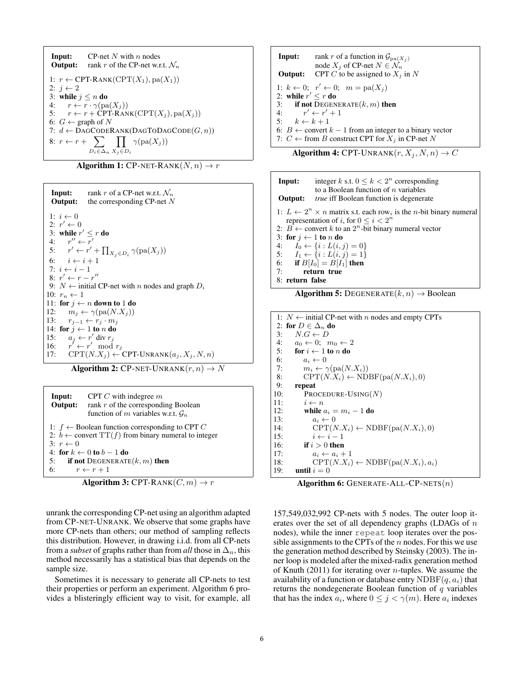**Input:** CP-net *N* with *n* nodes  
\n**Output:** rank *r* of the CP-net w.r.t. 
$$
\mathcal{N}_n
$$
  
\n1:  $r \leftarrow \text{CPT-RANK}(\text{CPT}(X_1), \text{pa}(X_1))$   
\n2:  $j \leftarrow 2$   
\n3: while  $j \leq n$  do  
\n4:  $r \leftarrow r \cdot \gamma(\text{pa}(X_j))$   
\n5:  $r \leftarrow r + \text{CPT-RANK}(\text{CPT}(X_j), \text{pa}(X_j))$   
\n6:  $G \leftarrow \text{graph of } N$   
\n7:  $d \leftarrow \text{DAGCODERANK}(\text{DAGTODAGCODE}(G, n))$   
\n8:  $r \leftarrow r + \sum_{D_i \in \Delta_n} \prod_{X_j \in D_i} \gamma(\text{pa}(X_j))$ 



**Input:** rank r of a CP-net w.r.t.  $\mathcal{N}_n$ <br>**Output:** the corresponding CP-net N the corresponding CP-net  $N$ 1:  $i \leftarrow 0$ 2:  $r' \leftarrow 0$ 3: while  $r' \leq r$  do 4:  $r'' \leftarrow \overline{r}'$ 5:  $r' \leftarrow r' + \prod_{X_j \in D_i} \gamma(\text{pa}(X_j))$ 6:  $i \leftarrow i + 1$ 7:  $i \leftarrow i - 1$ 8:  $r' \leftarrow r - r''$ 9:  $N \leftarrow$  initial CP-net with n nodes and graph  $D_i$ 10:  $r_n \leftarrow 1$ 11: for  $j \leftarrow n$  down to 1 do 12:  $m_j \leftarrow \gamma(\text{pa}(N.X_j))$ 13:  $r_{j-1} \leftarrow r_j \cdot m_j$ 14: for  $j \leftarrow 1$  to n do 15:  $a_j$  ← r' div r<sub>j</sub>  $16:$  $\check{r} \leftarrow r' \mod r_j$ 17:  $CPT(N.X_i) \leftarrow CPT\text{-}UNRANK(a_j, X_j, N, n)$ 

Algorithm 2: CP-NET-UNRANK $(r, n) \rightarrow N$ 

| Input:                                                                                                                      | CPT $C$ with indegree $m$<br><b>Output:</b> rank $r$ of the corresponding Boolean<br>function of m variables w.r.t. $\mathcal{G}_n$ |  |  |  |
|-----------------------------------------------------------------------------------------------------------------------------|-------------------------------------------------------------------------------------------------------------------------------------|--|--|--|
| 1: $f \leftarrow$ Boolean function corresponding to CPT C<br>2: $b \leftarrow$ convert TT(f) from binary numeral to integer |                                                                                                                                     |  |  |  |
| $3: r \leftarrow 0$                                                                                                         |                                                                                                                                     |  |  |  |
| 4: for $k \leftarrow 0$ to $b-1$ do                                                                                         |                                                                                                                                     |  |  |  |
|                                                                                                                             | 5: if not DEGENERATE $(k, m)$ then                                                                                                  |  |  |  |
| 6: $r \leftarrow r+1$                                                                                                       |                                                                                                                                     |  |  |  |



unrank the corresponding CP-net using an algorithm adapted from CP-NET-UNRANK. We observe that some graphs have more CP-nets than others; our method of sampling reflects this distribution. However, in drawing i.i.d. from all CP-nets from a *subset* of graphs rather than from *all* those in  $\Delta_n$ , this method necessarily has a statistical bias that depends on the sample size.

Sometimes it is necessary to generate all CP-nets to test their properties or perform an experiment. Algorithm 6 provides a blisteringly efficient way to visit, for example, all

**Input:** rank r of a function in  $\mathcal{G}_{\text{pa}(X_i)}$ node  $X_j$  of CP-net  $N \in \mathcal{N}_n$ **Output:** CPT C to be assigned to  $X_i$  in N 1:  $k \leftarrow 0; \quad r' \leftarrow 0; \quad m = \text{pa}(X_j)$ 2: while  $r' \leq r$  do 3: if not DEGENERATE $(k, m)$  then 4:  $r' \leftarrow r' + 1$ 5:  $k \leftarrow k + 1$ 6: *B* ← convert  $k - 1$  from an integer to a binary vector 7:  $C \leftarrow$  from *B* construct CPT for  $X_j$  in CP-net *N* 

Algorithm 4: CPT-UNRANK $(r, X_i, N, n) \rightarrow C$ 

**Input:** integer k s.t.  $0 \le k < 2^n$  corresponding to a Boolean function of  $n$  variables **Output:** *true* iff Boolean function is degenerate 1:  $L \leftarrow 2^n \times n$  matrix s.t. each row<sub>i</sub> is the *n*-bit binary numeral representation of *i*, for  $0 \le i < 2^n$ 2:  $\overline{B}$   $\leftarrow$  convert k to an  $2^n$ -bit binary numeral vector 3: for  $i \leftarrow 1$  to *n* do 4:  $I_0 \leftarrow \{i : L(i, j) = 0\}$ <br>5:  $I_1 \leftarrow \{i : L(i, j) = 1\}$  $I_1 \leftarrow \{i : L(i, j) = 1\}$ 6: **if**  $B[I_0] = B[I_1]$  then 7: return true 8: return false **Algorithm 5:** DEGENERATE $(k, n) \rightarrow$  Boolean 1:  $N \leftarrow$  initial CP-net with *n* nodes and empty CPTs 2: for  $D \in \Delta_n$  do 3:  $N.G \leftarrow D$ 4:  $a_0 \leftarrow 0; m_0 \leftarrow 2$ 5: for  $i \leftarrow 1$  to *n* do<br>6:  $a_i \leftarrow 0$ 6:  $a_i \leftarrow 0$ <br>7:  $m_i \leftarrow \gamma$  $m_i \leftarrow \gamma(\text{pa}(N.X_i))$ 

8: CPT $(N.X_i) \leftarrow \text{NDBF}(\text{pa}(N.X_i), 0)$ <br>9: **repeat** 

9: **repeat**<br>10: **PRC** PROCEDURE-USING $(N)$ 

11:  $i \leftarrow n$ 

12: while  $a_i = m_i - 1$  do 13:  $a_i \leftarrow 0$ 

13:  $a_i \leftarrow 0$ <br>14:  $\text{CPT}(N)$ 14:  $\text{CPT}(N.X_i) \leftarrow \text{NDBF}(\text{pa}(N.X_i), 0)$ <br>15:  $i \leftarrow i-1$ 

 $i \leftarrow i - 1$ 

16: if  $i > 0$  then

17:  $a_i \leftarrow a_i + 1$ 18:  $\text{CPT}(N.X_i) \leftarrow \text{NDBF}(\text{pa}(N.X_i), a_i)$ <br>19: **until**  $i = 0$ 

until  $i = 0$ 

Algorithm 6: GENERATE-ALL-CP-NETS $(n)$ 

157,549,032,992 CP-nets with 5 nodes. The outer loop iterates over the set of all dependency graphs (LDAGs of  $n$ nodes), while the inner repeat loop iterates over the possible assignments to the CPTs of the  $n$  nodes. For this we use the generation method described by Steinsky (2003). The inner loop is modeled after the mixed-radix generation method of Knuth (2011) for iterating over  $n$ -tuples. We assume the availability of a function or database entry  $NDBF(q, a_i)$  that returns the nondegenerate Boolean function of  $q$  variables that has the index  $a_i$ , where  $0 \leq j < \gamma(m)$ . Here  $a_i$  indexes